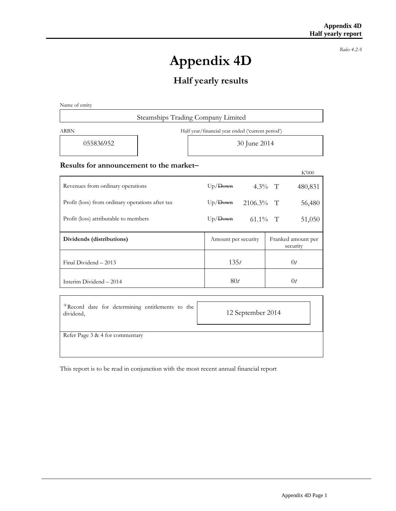*Rules 4.2A*

# **Appendix 4D**

## **Half yearly results**

Name of entity

| Steamships Trading Company Limited                        |              |  |  |  |
|-----------------------------------------------------------|--------------|--|--|--|
| Half year/financial year ended ('current period')<br>ARBN |              |  |  |  |
| 055836952                                                 | 30 June 2014 |  |  |  |
|                                                           |              |  |  |  |

#### **Results for announcement to the market**

|                                                  |                     |                 | K'000                          |
|--------------------------------------------------|---------------------|-----------------|--------------------------------|
| Revenues from ordinary operations                | $Up/$ Down          | $4.3\%$ T       | 480,831                        |
| Profit (loss) from ordinary operations after tax | Up/Down             | $2106.3\%$ T    | 56,480                         |
| Profit (loss) attributable to members            | $Up/$ Down          | 61.1\% $\Gamma$ | 51,050                         |
| Dividends (distributions)                        | Amount per security |                 | Franked amount per<br>security |
| Final Dividend - 2013                            | 135t                |                 | 0 <sub>t</sub>                 |
| Interim Dividend - 2014                          | 80t                 |                 | 0 <sub>t</sub>                 |

| <sup>+</sup> Record date for determining entitlements to the<br>dividend, | 12 September 2014 |
|---------------------------------------------------------------------------|-------------------|
| Refer Page 3 & 4 for commentary                                           |                   |

This report is to be read in conjunction with the most recent annual financial report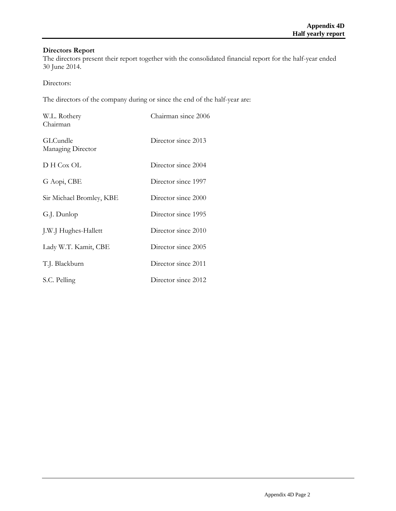## **Directors Report**

The directors present their report together with the consolidated financial report for the half-year ended 30 June 2014.

Directors:

The directors of the company during or since the end of the half-year are:

| W.L. Rothery<br>Chairman      | Chairman since 2006 |
|-------------------------------|---------------------|
| GLCundle<br>Managing Director | Director since 2013 |
| D H Cox OL                    | Director since 2004 |
| G Aopi, CBE                   | Director since 1997 |
| Sir Michael Bromley, KBE      | Director since 2000 |
| G.J. Dunlop                   | Director since 1995 |
| J.W.J Hughes-Hallett          | Director since 2010 |
| Lady W.T. Kamit, CBE          | Director since 2005 |
| T.J. Blackburn                | Director since 2011 |
| S.C. Pelling                  | Director since 2012 |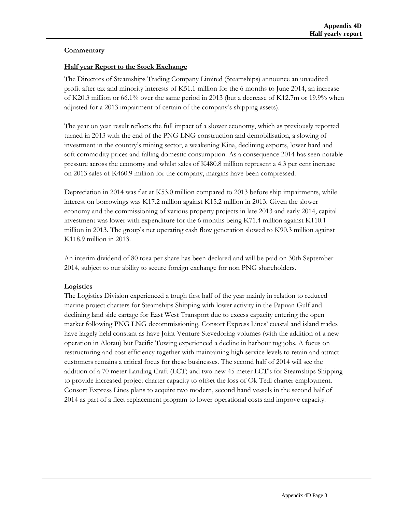#### **Commentary**

#### **Half year Report to the Stock Exchange**

The Directors of Steamships Trading Company Limited (Steamships) announce an unaudited profit after tax and minority interests of K51.1 million for the 6 months to June 2014, an increase of K20.3 million or 66.1% over the same period in 2013 (but a decrease of K12.7m or 19.9% when adjusted for a 2013 impairment of certain of the company's shipping assets).

The year on year result reflects the full impact of a slower economy, which as previously reported turned in 2013 with the end of the PNG LNG construction and demobilisation, a slowing of investment in the country's mining sector, a weakening Kina, declining exports, lower hard and soft commodity prices and falling domestic consumption. As a consequence 2014 has seen notable pressure across the economy and whilst sales of K480.8 million represent a 4.3 per cent increase on 2013 sales of K460.9 million for the company, margins have been compressed.

Depreciation in 2014 was flat at K53.0 million compared to 2013 before ship impairments, while interest on borrowings was K17.2 million against K15.2 million in 2013. Given the slower economy and the commissioning of various property projects in late 2013 and early 2014, capital investment was lower with expenditure for the 6 months being K71.4 million against K110.1 million in 2013. The group's net operating cash flow generation slowed to K90.3 million against K118.9 million in 2013.

An interim dividend of 80 toea per share has been declared and will be paid on 30th September 2014, subject to our ability to secure foreign exchange for non PNG shareholders.

#### **Logistics**

The Logistics Division experienced a tough first half of the year mainly in relation to reduced marine project charters for Steamships Shipping with lower activity in the Papuan Gulf and declining land side cartage for East West Transport due to excess capacity entering the open market following PNG LNG decommissioning. Consort Express Lines' coastal and island trades have largely held constant as have Joint Venture Stevedoring volumes (with the addition of a new operation in Alotau) but Pacific Towing experienced a decline in harbour tug jobs. A focus on restructuring and cost efficiency together with maintaining high service levels to retain and attract customers remains a critical focus for these businesses. The second half of 2014 will see the addition of a 70 meter Landing Craft (LCT) and two new 45 meter LCT's for Steamships Shipping to provide increased project charter capacity to offset the loss of Ok Tedi charter employment. Consort Express Lines plans to acquire two modern, second hand vessels in the second half of 2014 as part of a fleet replacement program to lower operational costs and improve capacity.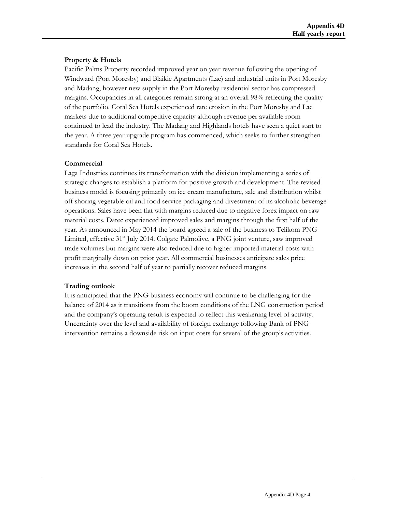#### **Property & Hotels**

Pacific Palms Property recorded improved year on year revenue following the opening of Windward (Port Moresby) and Blaikie Apartments (Lae) and industrial units in Port Moresby and Madang, however new supply in the Port Moresby residential sector has compressed margins. Occupancies in all categories remain strong at an overall 98% reflecting the quality of the portfolio. Coral Sea Hotels experienced rate erosion in the Port Moresby and Lae markets due to additional competitive capacity although revenue per available room continued to lead the industry. The Madang and Highlands hotels have seen a quiet start to the year. A three year upgrade program has commenced, which seeks to further strengthen standards for Coral Sea Hotels.

#### **Commercial**

Laga Industries continues its transformation with the division implementing a series of strategic changes to establish a platform for positive growth and development. The revised business model is focusing primarily on ice cream manufacture, sale and distribution whilst off shoring vegetable oil and food service packaging and divestment of its alcoholic beverage operations. Sales have been flat with margins reduced due to negative forex impact on raw material costs. Datec experienced improved sales and margins through the first half of the year. As announced in May 2014 the board agreed a sale of the business to Telikom PNG Limited, effective  $31<sup>st</sup>$  July 2014. Colgate Palmolive, a PNG joint venture, saw improved trade volumes but margins were also reduced due to higher imported material costs with profit marginally down on prior year. All commercial businesses anticipate sales price increases in the second half of year to partially recover reduced margins.

#### **Trading outlook**

It is anticipated that the PNG business economy will continue to be challenging for the balance of 2014 as it transitions from the boom conditions of the LNG construction period and the company's operating result is expected to reflect this weakening level of activity. Uncertainty over the level and availability of foreign exchange following Bank of PNG intervention remains a downside risk on input costs for several of the group's activities.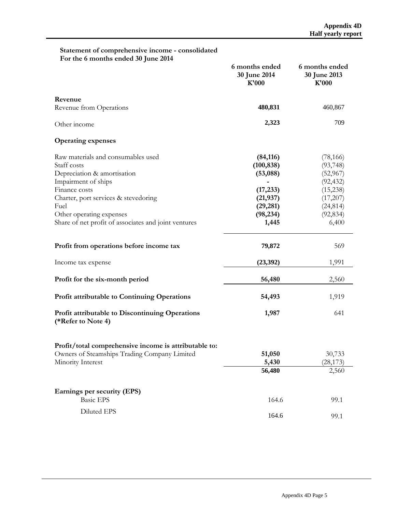#### **Statement of comprehensive income - consolidated For the 6 months ended 30 June 2014**

|                                                                              | 6 months ended<br>30 June 2014<br>K'000 | 6 months ended<br>30 June 2013<br>K'000 |
|------------------------------------------------------------------------------|-----------------------------------------|-----------------------------------------|
| Revenue                                                                      |                                         |                                         |
| Revenue from Operations                                                      | 480,831                                 | 460,867                                 |
| Other income                                                                 | 2,323                                   | 709                                     |
| <b>Operating expenses</b>                                                    |                                         |                                         |
| Raw materials and consumables used                                           | (84, 116)                               | (78, 166)                               |
| Staff costs                                                                  | (100, 838)                              | (93, 748)                               |
| Depreciation & amortisation                                                  | (53,088)                                | (52, 967)                               |
| Impairment of ships                                                          |                                         | (92, 432)                               |
| Finance costs                                                                | (17, 233)                               | (15, 238)                               |
| Charter, port services & stevedoring                                         | (21, 937)                               | (17,207)                                |
| Fuel                                                                         | (29, 281)                               | (24, 814)                               |
| Other operating expenses                                                     | (98, 234)                               | (92, 834)                               |
| Share of net profit of associates and joint ventures                         | 1,445                                   | 6,400                                   |
| Profit from operations before income tax                                     | 79,872                                  | 569                                     |
| Income tax expense                                                           | (23, 392)                               | 1,991                                   |
| Profit for the six-month period                                              | 56,480                                  | 2,560                                   |
| <b>Profit attributable to Continuing Operations</b>                          | 54,493                                  | 1,919                                   |
| <b>Profit attributable to Discontinuing Operations</b><br>(*Refer to Note 4) | 1,987                                   | 641                                     |
| Profit/total comprehensive income is attributable to:                        |                                         |                                         |
| Owners of Steamships Trading Company Limited                                 | 51,050                                  | 30,733                                  |
| Minority Interest                                                            | 5,430                                   | (28, 173)                               |
|                                                                              | 56,480                                  | 2,560                                   |
| Earnings per security (EPS)                                                  |                                         |                                         |
| <b>Basic EPS</b>                                                             | 164.6                                   | 99.1                                    |
| Diluted EPS                                                                  | 164.6                                   | 99.1                                    |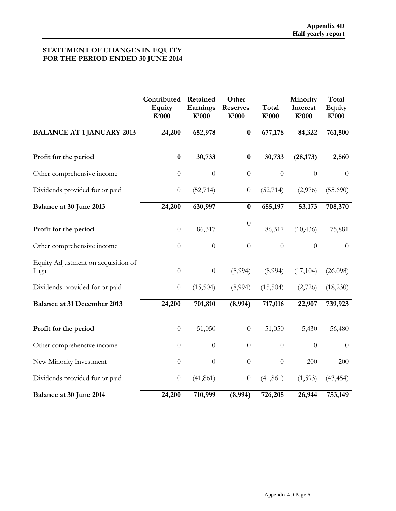#### **STATEMENT OF CHANGES IN EQUITY FOR THE PERIOD ENDED 30 JUNE 2014**

|                                             | Contributed<br>Equity<br>K'000 | Retained<br>Earnings<br>K'000 | Other<br><b>Reserves</b><br>K'000 | Total<br>K'000   | Minority<br>Interest<br>K'000 | Total<br><b>Equity</b><br>K'000 |
|---------------------------------------------|--------------------------------|-------------------------------|-----------------------------------|------------------|-------------------------------|---------------------------------|
| <b>BALANCE AT 1 JANUARY 2013</b>            | 24,200                         | 652,978                       | $\bf{0}$                          | 677,178          | 84,322                        | 761,500                         |
| Profit for the period                       | $\bf{0}$                       | 30,733                        | $\bf{0}$                          | 30,733           | (28, 173)                     | 2,560                           |
| Other comprehensive income                  | $\boldsymbol{0}$               | $\theta$                      | $\overline{0}$                    | $\overline{0}$   | $\overline{0}$                | $\theta$                        |
| Dividends provided for or paid              | $\boldsymbol{0}$               | (52, 714)                     | $\boldsymbol{0}$                  | (52, 714)        | (2,976)                       | (55,690)                        |
| Balance at 30 June 2013                     | 24,200                         | 630,997                       | $\bf{0}$                          | 655,197          | 53,173                        | 708,370                         |
| Profit for the period                       | $\boldsymbol{0}$               | 86,317                        | $\boldsymbol{0}$                  | 86,317           | (10, 436)                     | 75,881                          |
| Other comprehensive income                  | $\theta$                       | $\theta$                      | $\overline{0}$                    | $\overline{0}$   | $\overline{0}$                | $\overline{0}$                  |
| Equity Adjustment on acquisition of<br>Laga | $\boldsymbol{0}$               | $\theta$                      | (8,994)                           | (8,994)          | (17, 104)                     | (26,098)                        |
| Dividends provided for or paid              | $\boldsymbol{0}$               | (15,504)                      | (8,994)                           | (15,504)         | (2,726)                       | (18,230)                        |
| <b>Balance at 31 December 2013</b>          | 24,200                         | 701,810                       | (8,994)                           | 717,016          | 22,907                        | 739,923                         |
| Profit for the period                       | $\boldsymbol{0}$               | 51,050                        | $\theta$                          | 51,050           | 5,430                         | 56,480                          |
| Other comprehensive income                  | $\boldsymbol{0}$               | $\overline{0}$                | $\overline{0}$                    | $\boldsymbol{0}$ | $\theta$                      | $\boldsymbol{0}$                |
| New Minority Investment                     | $\boldsymbol{0}$               | $\boldsymbol{0}$              | $\boldsymbol{0}$                  | $\theta$         | 200                           | 200                             |
| Dividends provided for or paid              | $\boldsymbol{0}$               | (41, 861)                     | $\boldsymbol{0}$                  | (41, 861)        | (1,593)                       | (43, 454)                       |
| Balance at 30 June 2014                     | 24,200                         | 710,999                       | (8,994)                           | 726,205          | 26,944                        | 753,149                         |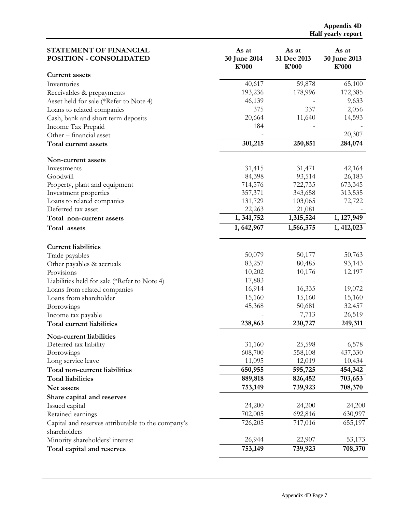| STATEMENT OF FINANCIAL<br>POSITION - CONSOLIDATED                  | As at<br>30 June 2014<br>$K$ '000 | As at<br>31 Dec 2013<br>K'000 | As at<br>30 June 2013<br>K'000 |
|--------------------------------------------------------------------|-----------------------------------|-------------------------------|--------------------------------|
| <b>Current assets</b>                                              |                                   |                               |                                |
| Inventories                                                        | 40,617                            | 59,878                        | 65,100                         |
| Receivables & prepayments                                          | 193,236                           | 178,996                       | 172,385                        |
| Asset held for sale (*Refer to Note 4)                             | 46,139                            |                               | 9,633                          |
| Loans to related companies                                         | 375                               | 337                           | 2,056                          |
| Cash, bank and short term deposits                                 | 20,664                            | 11,640                        | 14,593                         |
| Income Tax Prepaid                                                 | 184                               |                               |                                |
| Other - financial asset                                            |                                   |                               | 20,307                         |
| Total current assets                                               | 301,215                           | 250,851                       | 284,074                        |
| Non-current assets                                                 |                                   |                               |                                |
| Investments                                                        | 31,415                            | 31,471                        | 42,164                         |
| Goodwill                                                           | 84,398                            | 93,514                        | 26,183                         |
| Property, plant and equipment                                      | 714,576                           | 722,735                       | 673,345                        |
| Investment properties                                              | 357,371                           | 343,658                       | 313,535                        |
| Loans to related companies                                         | 131,729                           | 103,065                       | 72,722                         |
| Deferred tax asset                                                 | 22,263                            | 21,081                        |                                |
| Total non-current assets                                           | 1, 341, 752                       | 1,315,524                     | 1, 127, 949                    |
| Total assets                                                       | 1,642,967                         | 1,566,375                     | 1, 412, 023                    |
| <b>Current liabilities</b>                                         |                                   |                               |                                |
| Trade payables                                                     | 50,079                            | 50,177                        | 50,763                         |
| Other payables & accruals                                          | 83,257                            | 80,485                        | 93,143                         |
| Provisions                                                         | 10,202                            | 10,176                        | 12,197                         |
| Liabilities held for sale (*Refer to Note 4)                       | 17,883                            |                               |                                |
| Loans from related companies                                       | 16,914                            | 16,335                        | 19,072                         |
| Loans from shareholder                                             | 15,160                            | 15,160                        | 15,160                         |
| Borrowings                                                         | 45,368                            | 50,681                        | 32,457                         |
| Income tax payable                                                 |                                   | 7,713                         | 26,519                         |
| Total current liabilities                                          | 238,863                           | 230,727                       | 249,311                        |
| Non-current liabilities                                            |                                   |                               |                                |
| Deferred tax liability                                             | 31,160                            | 25,598                        | 6,578                          |
| Borrowings                                                         | 608,700                           | 558,108                       | 437,330                        |
| Long service leave                                                 | 11,095                            | 12,019                        | 10,434                         |
| Total non-current liabilities                                      | 650,955                           | 595,725                       | 454,342                        |
| <b>Total liabilities</b>                                           | 889,818                           | 826,452                       | 703,653                        |
| Net assets                                                         | 753,149                           | 739,923                       | 708,370                        |
| Share capital and reserves                                         |                                   |                               |                                |
| Issued capital                                                     | 24,200                            | 24,200                        | 24,200                         |
| Retained earnings                                                  | 702,005                           | 692,816                       | 630,997                        |
| Capital and reserves attributable to the company's<br>shareholders | 726,205                           | 717,016                       | 655,197                        |
| Minority shareholders' interest                                    | 26,944                            | 22,907                        | 53,173                         |
| Total capital and reserves                                         | 753,149                           | 739,923                       | 708,370                        |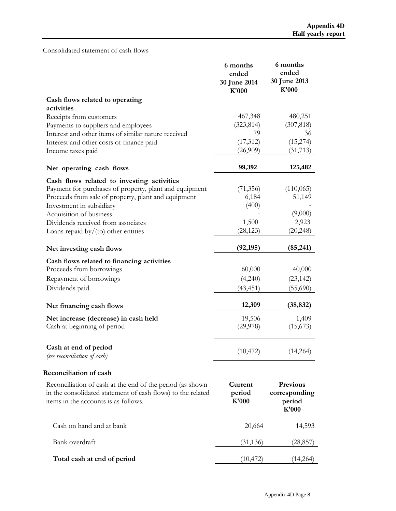### Consolidated statement of cash flows

|                                                                                                                                                                  | 6 months<br>ended<br>30 June 2014<br>K'000 | 6 months<br>ended<br>30 June 2013<br>K'000          |
|------------------------------------------------------------------------------------------------------------------------------------------------------------------|--------------------------------------------|-----------------------------------------------------|
| Cash flows related to operating<br>activities                                                                                                                    |                                            |                                                     |
| Receipts from customers                                                                                                                                          | 467,348                                    | 480,251                                             |
| Payments to suppliers and employees                                                                                                                              | (323, 814)                                 | (307, 818)                                          |
| Interest and other items of similar nature received                                                                                                              | 79                                         | 36                                                  |
| Interest and other costs of finance paid                                                                                                                         | (17, 312)                                  | (15, 274)                                           |
| Income taxes paid                                                                                                                                                | (26,909)                                   | (31, 713)                                           |
| Net operating cash flows                                                                                                                                         | 99,392                                     | 125,482                                             |
| Cash flows related to investing activities                                                                                                                       |                                            |                                                     |
| Payment for purchases of property, plant and equipment                                                                                                           | (71, 356)                                  | (110, 065)                                          |
| Proceeds from sale of property, plant and equipment                                                                                                              | 6,184                                      | 51,149                                              |
| Investment in subsidiary                                                                                                                                         | (400)                                      |                                                     |
| Acquisition of business                                                                                                                                          |                                            | (9,000)                                             |
| Dividends received from associates                                                                                                                               | 1,500                                      | 2,923                                               |
| Loans repaid by/(to) other entities                                                                                                                              | (28, 123)                                  | (20, 248)                                           |
| Net investing cash flows                                                                                                                                         | (92, 195)                                  | (85, 241)                                           |
| Cash flows related to financing activities                                                                                                                       |                                            |                                                     |
| Proceeds from borrowings                                                                                                                                         | 60,000                                     | 40,000                                              |
| Repayment of borrowings                                                                                                                                          | (4,240)                                    | (23, 142)                                           |
| Dividends paid                                                                                                                                                   | (43, 451)                                  | (55,690)                                            |
| Net financing cash flows                                                                                                                                         | 12,309                                     | (38, 832)                                           |
| Net increase (decrease) in cash held                                                                                                                             | 19,506                                     | 1,409                                               |
| Cash at beginning of period                                                                                                                                      | (29, 978)                                  | (15,673)                                            |
| Cash at end of period<br>(see reconciliation of cash)                                                                                                            | (10, 472)                                  | (14,264)                                            |
| <b>Reconciliation of cash</b>                                                                                                                                    |                                            |                                                     |
| Reconciliation of cash at the end of the period (as shown<br>in the consolidated statement of cash flows) to the related<br>items in the accounts is as follows. | Current<br>period<br>K'000                 | <b>Previous</b><br>corresponding<br>period<br>K'000 |
| Cash on hand and at bank                                                                                                                                         | 20,664                                     | 14,593                                              |
| Bank overdraft                                                                                                                                                   | (31, 136)                                  | (28,857)                                            |
| Total cash at end of period                                                                                                                                      | (10, 472)                                  | (14,264)                                            |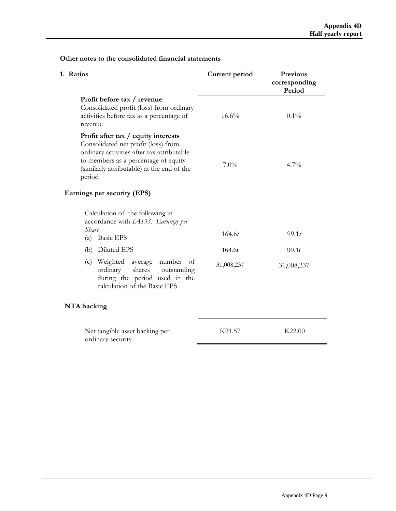#### **corresponding Period Profit before tax / revenue** Consolidated profit (loss) from ordinary activities before tax as a percentage of revenue  $16.6\%$  0.1% **Profit after tax / equity interests**  Consolidated net profit (loss) from ordinary activities after tax attributable to members as a percentage of equity (similarly attributable) at the end of the period  $7.0\%$  4.7% **Earnings per security (EPS)**  Calculation of the following in accordance with *IAS33: Earnings per Share* (a) Basic EPS (b) Diluted EPS (c) Weighted average number of ordinary shares outstanding during the period used in the calculation of the Basic EPS 164.6*t* 164.6*t* 31,008,237 99.1*t* 99.1*t* 31,008,237 **NTA backing**

**1. Ratios Current period Previous** 

#### **Other notes to the consolidated financial statements**

| Net tangible asset backing per | K <sub>21.57</sub> | K22.00 |
|--------------------------------|--------------------|--------|
| ordinary security              |                    |        |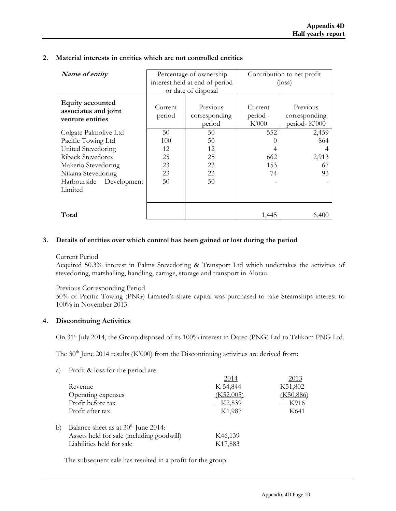| Name of entity                                                      | Percentage of ownership        |                                     | Contribution to net profit   |                                           |
|---------------------------------------------------------------------|--------------------------------|-------------------------------------|------------------------------|-------------------------------------------|
|                                                                     | interest held at end of period |                                     | $(\text{loss})$              |                                           |
|                                                                     |                                | or date of disposal                 |                              |                                           |
| <b>Equity accounted</b><br>associates and joint<br>venture entities | Current<br>period              | Previous<br>corresponding<br>period | Current<br>period -<br>K'000 | Previous<br>corresponding<br>period-K'000 |
| Colgate Palmolive Ltd                                               | 50                             | 50                                  | 552                          | 2,459                                     |
| Pacific Towing Ltd                                                  | 100                            | 50                                  |                              | 864                                       |
| United Stevedoring                                                  | 12                             | 12                                  |                              |                                           |
| Riback Stevedores                                                   | 25                             | 25                                  | 662                          | 2,913                                     |
| Makerio Stevedoring                                                 | 23                             | 23                                  | 153                          | 67                                        |
| Nikana Stevedoring                                                  | 23                             | 23                                  | 74                           | 93                                        |
| Harbourside Development                                             | 50                             | 50                                  |                              |                                           |
| Limited                                                             |                                |                                     |                              |                                           |
|                                                                     |                                |                                     |                              |                                           |
|                                                                     |                                |                                     |                              |                                           |
| Total                                                               |                                |                                     | 1,445                        | 6,400                                     |

#### **2. Material interests in entities which are not controlled entities**

#### **3. Details of entities over which control has been gained or lost during the period**

#### Current Period

Acquired 50.3% interest in Palms Stevedoring & Transport Ltd which undertakes the activities of stevedoring, marshalling, handling, cartage, storage and transport in Alotau.

#### Previous Corresponding Period

 50% of Pacific Towing (PNG) Limited's share capital was purchased to take Steamships interest to 100% in November 2013.

#### **4. Discontinuing Activities**

On 31<sup>st</sup> July 2014, the Group disposed of its 100% interest in Datec (PNG) Ltd to Telikom PNG Ltd.

The  $30<sup>th</sup>$  June 2014 results (K'000) from the Discontinuing activities are derived from:

a) Profit & loss for the period are: 2014 2013 Revenue K 54,844 K51,802 Operating expenses (K52,005) (K50,886) Profit before tax  $K2,839$  K916 Profit after tax K1,987 K641 b) Balance sheet as at  $30<sup>th</sup>$  June 2014: Assets held for sale (including goodwill) K46,139 Liabilities held for sale K17,883

The subsequent sale has resulted in a profit for the group.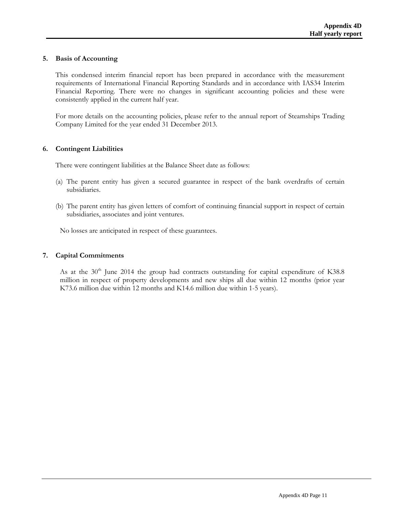#### **5. Basis of Accounting**

This condensed interim financial report has been prepared in accordance with the measurement requirements of International Financial Reporting Standards and in accordance with IAS34 Interim Financial Reporting. There were no changes in significant accounting policies and these were consistently applied in the current half year.

For more details on the accounting policies, please refer to the annual report of Steamships Trading Company Limited for the year ended 31 December 2013.

#### **6. Contingent Liabilities**

There were contingent liabilities at the Balance Sheet date as follows:

- (a) The parent entity has given a secured guarantee in respect of the bank overdrafts of certain subsidiaries.
- (b) The parent entity has given letters of comfort of continuing financial support in respect of certain subsidiaries, associates and joint ventures.

No losses are anticipated in respect of these guarantees.

#### **7. Capital Commitments**

As at the  $30<sup>th</sup>$  June 2014 the group had contracts outstanding for capital expenditure of K38.8 million in respect of property developments and new ships all due within 12 months (prior year K73.6 million due within 12 months and K14.6 million due within 1-5 years).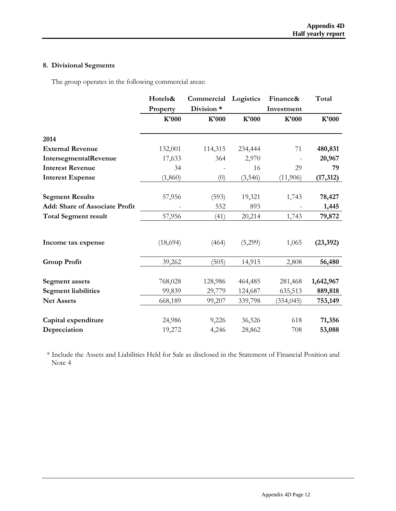## **8. Divisional Segments**

The group operates in the following commercial areas:

|                                       | Hotels&<br>Property | Commercial<br>Division * | Logistics | Finance&<br>Investment | Total     |
|---------------------------------------|---------------------|--------------------------|-----------|------------------------|-----------|
|                                       | K'000               | K'000                    | K'000     | K'000                  | K'000     |
| 2014                                  |                     |                          |           |                        |           |
| <b>External Revenue</b>               | 132,001             | 114,315                  | 234,444   | 71                     | 480,831   |
| IntersegmentalRevenue                 | 17,633              | 364                      | 2,970     |                        | 20,967    |
| <b>Interest Revenue</b>               | 34                  |                          | 16        | 29                     | 79        |
| <b>Interest Expense</b>               | (1, 860)            | (0)                      | (3, 546)  | (11,906)               | (17, 312) |
|                                       |                     |                          |           |                        |           |
| <b>Segment Results</b>                | 57,956              | (593)                    | 19,321    | 1,743                  | 78,427    |
| <b>Add: Share of Associate Profit</b> |                     | 552                      | 893       |                        | 1,445     |
| <b>Total Segment result</b>           | 57,956              | (41)                     | 20,214    | 1,743                  | 79,872    |
| Income tax expense                    | (18,694)            | (464)                    | (5,299)   | 1,065                  | (23, 392) |
| <b>Group Profit</b>                   | 39,262              | (505)                    | 14,915    | 2,808                  | 56,480    |
| <b>Segment</b> assets                 | 768,028             | 128,986                  | 464,485   | 281,468                | 1,642,967 |
| <b>Segment liabilities</b>            | 99,839              | 29,779                   | 124,687   | 635,513                | 889,818   |
| <b>Net Assets</b>                     | 668,189             | 99,207                   | 339,798   | (354, 045)             | 753,149   |
| Capital expenditure                   | 24,986              | 9,226                    | 36,526    | 618                    | 71,356    |
| Depreciation                          | 19,272              | 4,246                    | 28,862    | 708                    | 53,088    |

\* Include the Assets and Liabilities Held for Sale as disclosed in the Statement of Financial Position and Note 4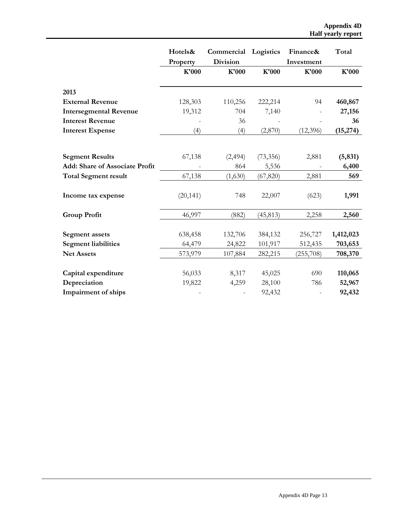|                                                                 | Hotels&           | Commercial Logistics     |           | Finance&            | Total     |
|-----------------------------------------------------------------|-------------------|--------------------------|-----------|---------------------|-----------|
|                                                                 | Property<br>K'000 | <b>Division</b><br>K'000 | K'000     | Investment<br>K'000 | K'000     |
|                                                                 |                   |                          |           |                     |           |
| 2013                                                            |                   |                          |           |                     |           |
| <b>External Revenue</b>                                         | 128,303           | 110,256                  | 222,214   | 94                  | 460,867   |
| <b>Intersegmental Revenue</b>                                   | 19,312            | 704                      | 7,140     |                     | 27,156    |
| <b>Interest Revenue</b>                                         |                   | 36                       |           |                     | 36        |
| <b>Interest Expense</b>                                         | (4)               | (4)                      | (2,870)   | (12, 396)           | (15, 274) |
|                                                                 |                   |                          |           |                     |           |
|                                                                 |                   |                          |           | 2,881               |           |
| <b>Segment Results</b><br><b>Add: Share of Associate Profit</b> | 67,138            | (2, 494)                 | (73,356)  |                     | (5, 831)  |
|                                                                 |                   | 864                      | 5,536     |                     | 6,400     |
| <b>Total Segment result</b>                                     | 67,138            | (1,630)                  | (67, 820) | 2,881               | 569       |
| Income tax expense                                              | (20, 141)         | 748                      | 22,007    | (623)               | 1,991     |
| <b>Group Profit</b>                                             | 46,997            | (882)                    | (45, 813) | 2,258               | 2,560     |
| <b>Segment</b> assets                                           | 638,458           | 132,706                  | 384,132   | 256,727             | 1,412,023 |
| <b>Segment liabilities</b>                                      | 64,479            | 24,822                   | 101,917   | 512,435             | 703,653   |
| <b>Net Assets</b>                                               | 573,979           | 107,884                  | 282,215   | (255,708)           | 708,370   |
|                                                                 |                   |                          |           |                     |           |
| Capital expenditure                                             | 56,033            | 8,317                    | 45,025    | 690                 | 110,065   |
| Depreciation                                                    | 19,822            | 4,259                    | 28,100    | 786                 | 52,967    |
| <b>Impairment of ships</b>                                      |                   |                          | 92,432    |                     | 92,432    |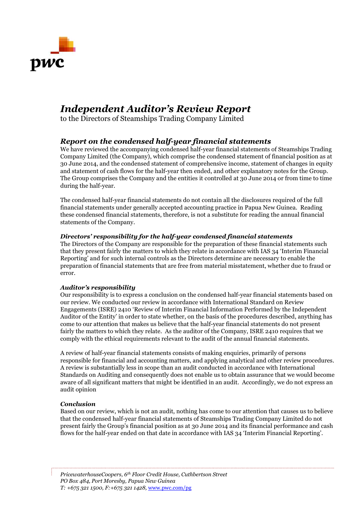

## *Independent Auditor's Review Report*

to the Directors of Steamships Trading Company Limited

### *Report on the condensed half-year financial statements*

We have reviewed the accompanying condensed half-year financial statements of Steamships Trading Company Limited (the Company), which comprise the condensed statement of financial position as at 30 June 2014, and the condensed statement of comprehensive income, statement of changes in equity and statement of cash flows for the half-year then ended, and other explanatory notes for the Group. The Group comprises the Company and the entities it controlled at 30 June 2014 or from time to time during the half-year.

The condensed half-year financial statements do not contain all the disclosures required of the full financial statements under generally accepted accounting practice in Papua New Guinea. Reading these condensed financial statements, therefore, is not a substitute for reading the annual financial statements of the Company.

#### *Directors' responsibility for the half-year condensed financial statements*

The Directors of the Company are responsible for the preparation of these financial statements such that they present fairly the matters to which they relate in accordance with IAS 34 'Interim Financial Reporting' and for such internal controls as the Directors determine are necessary to enable the preparation of financial statements that are free from material misstatement, whether due to fraud or error.

#### *Auditor's responsibility*

Our responsibility is to express a conclusion on the condensed half-year financial statements based on our review. We conducted our review in accordance with International Standard on Review Engagements (ISRE) 2410 'Review of Interim Financial Information Performed by the Independent Auditor of the Entity' in order to state whether, on the basis of the procedures described, anything has come to our attention that makes us believe that the half-year financial statements do not present fairly the matters to which they relate. As the auditor of the Company, ISRE 2410 requires that we comply with the ethical requirements relevant to the audit of the annual financial statements.

A review of half-year financial statements consists of making enquiries, primarily of persons responsible for financial and accounting matters, and applying analytical and other review procedures. A review is substantially less in scope than an audit conducted in accordance with International Standards on Auditing and consequently does not enable us to obtain assurance that we would become aware of all significant matters that might be identified in an audit. Accordingly, we do not express an audit opinion

#### *Conclusion*

Based on our review, which is not an audit, nothing has come to our attention that causes us to believe that the condensed half-year financial statements of Steamships Trading Company Limited do not present fairly the Group's financial position as at 30 June 2014 and its financial performance and cash flows for the half-year ended on that date in accordance with IAS 34 'Interim Financial Reporting'.